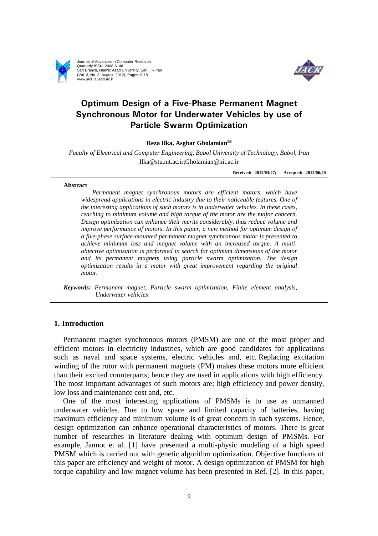

Journal of Advances in Computer Research Quarterly ISSN: 2008-6148 Sari Branch, Islamic Azad University, Sari, I.R.Iran (Vol. 3, No. 3, August 2012), Pages: 9-18 www.jacr.iausari.ac.ir



# **Optimum Design of a Five-Phase Permanent Magnet Synchronous Motor for Underwater Vehicles by use of Particle Swarm Optimization**

## **Reza Ilka, Asghar Gholamian**

*Faculty of Electrical and Computer Engineering, Babol University of Technology, Babol, Iran*  Ilka@stu.nit.ac.ir;Gholamian@nit.ac.ir

**Received: 2012/03/27; Accepted: 2012/06/20**

#### **Abstract**

*Permanent magnet synchronous motors are efficient motors, which have widespread applications in electric industry due to their noticeable features. One of the interesting applications of such motors is in underwater vehicles. In these cases, reaching to minimum volume and high torque of the motor are the major concern. Design optimization can enhance their merits considerably, thus reduce volume and improve performance of motors. In this paper, a new method for optimum design of a five-phase surface-mounted permanent magnet synchronous motor is presented to achieve minimum loss and magnet volume with an increased torque. A multiobjective optimization is performed in search for optimum dimensions of the motor and its permanent magnets using particle swarm optimization. The design optimization results in a motor with great improvement regarding the original motor.* 

*Keywords: Permanent magnet, Particle swarm optimization, Finite element analysis, Underwater vehicles* 

# **1. Introduction**

Permanent magnet synchronous motors (PMSM) are one of the most proper and efficient motors in electricity industries, which are good candidates for applications such as naval and space systems, electric vehicles and, etc. Replacing excitation winding of the rotor with permanent magnets (PM) makes these motors more efficient than their excited counterparts; hence they are used in applications with high efficiency. The most important advantages of such motors are: high efficiency and power density, low loss and maintenance cost and, etc.

One of the most interesting applications of PMSMs is to use as unmanned underwater vehicles. Due to low space and limited capacity of batteries, having maximum efficiency and minimum volume is of great concern in such systems. Hence, design optimization can enhance operational characteristics of motors. There is great number of researches in literature dealing with optimum design of PMSMs. For example, Jannot et al. [1] have presented a multi-physic modeling of a high speed PMSM which is carried out with genetic algorithm optimization. Objective functions of this paper are efficiency and weight of motor. A design optimization of PMSM for high torque capability and low magnet volume has been presented in Ref. [2]. In this paper,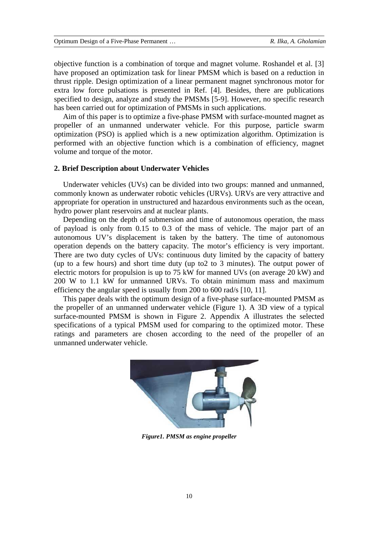objective function is a combination of torque and magnet volume. Roshandel et al. [3] have proposed an optimization task for linear PMSM which is based on a reduction in thrust ripple. Design optimization of a linear permanent magnet synchronous motor for extra low force pulsations is presented in Ref. [4]. Besides, there are publications specified to design, analyze and study the PMSMs [5-9]. However, no specific research has been carried out for optimization of PMSMs in such applications.

Aim of this paper is to optimize a five-phase PMSM with surface-mounted magnet as propeller of an unmanned underwater vehicle. For this purpose, particle swarm optimization (PSO) is applied which is a new optimization algorithm. Optimization is performed with an objective function which is a combination of efficiency, magnet volume and torque of the motor.

# **2. Brief Description about Underwater Vehicles**

Underwater vehicles (UVs) can be divided into two groups: manned and unmanned, commonly known as underwater robotic vehicles (URVs). URVs are very attractive and appropriate for operation in unstructured and hazardous environments such as the ocean, hydro power plant reservoirs and at nuclear plants.

Depending on the depth of submersion and time of autonomous operation, the mass of payload is only from 0.15 to 0.3 of the mass of vehicle. The major part of an autonomous UV's displacement is taken by the battery. The time of autonomous operation depends on the battery capacity. The motor's efficiency is very important. There are two duty cycles of UVs: continuous duty limited by the capacity of battery (up to a few hours) and short time duty (up to2 to 3 minutes). The output power of electric motors for propulsion is up to 75 kW for manned UVs (on average 20 kW) and 200 W to 1.1 kW for unmanned URVs. To obtain minimum mass and maximum efficiency the angular speed is usually from 200 to 600 rad/s [10, 11].

This paper deals with the optimum design of a five-phase surface-mounted PMSM as the propeller of an unmanned underwater vehicle (Figure 1). A 3D view of a typical surface-mounted PMSM is shown in Figure 2. Appendix A illustrates the selected specifications of a typical PMSM used for comparing to the optimized motor. These ratings and parameters are chosen according to the need of the propeller of an unmanned underwater vehicle.



*Figure1. PMSM as engine propeller*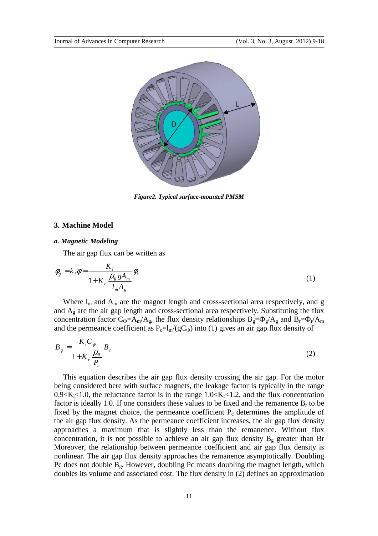

*Figure2. Typical surface-mounted PMSM* 

#### **3. Machine Model**

## *a. Magnetic Modeling*

The air gap flux can be written as

$$
\phi_g = k_l \phi = \frac{K_l}{1 + K_r} \frac{\mu_R g A_m}{l_m A_g} \phi_r \tag{1}
$$

Where  $l_m$  and  $A_m$  are the magnet length and cross-sectional area respectively, and g and Ag are the air gap length and cross-sectional area respectively. Substituting the flux concentration factor  $C_{\Phi} = A_m/A_g$ , the flux density relationships  $B_g = \Phi_g/A_g$  and  $B_r = \Phi_r/A_m$ and the permeance coefficient as  $P_c=I_m/(gC_\Phi)$  into (1) gives an air gap flux density of

$$
B_g = \frac{K_l C_\phi}{1 + K_r \frac{\mu_R}{P_c}} B_r \tag{2}
$$

This equation describes the air gap flux density crossing the air gap. For the motor being considered here with surface magnets, the leakage factor is typically in the range  $0.9 \le K_1 \le 1.0$ , the reluctance factor is in the range  $1.0 \le K_r \le 1.2$ , and the flux concentration factor is ideally 1.0. If one considers these values to be fixed and the remanence  $B_r$  to be fixed by the magnet choice, the permeance coefficient  $P_c$  determines the amplitude of the air gap flux density. As the permeance coefficient increases, the air gap flux density approaches a maximum that is slightly less than the remanence. Without flux concentration, it is not possible to achieve an air gap flux density  $B_g$  greater than Br Moreover, the relationship between permeance coefficient and air gap flux density is nonlinear. The air gap flux density approaches the remanence asymptotically. Doubling Pc does not double  $B_g$ . However, doubling Pc means doubling the magnet length, which doubles its volume and associated cost. The flux density in (2) defines an approximation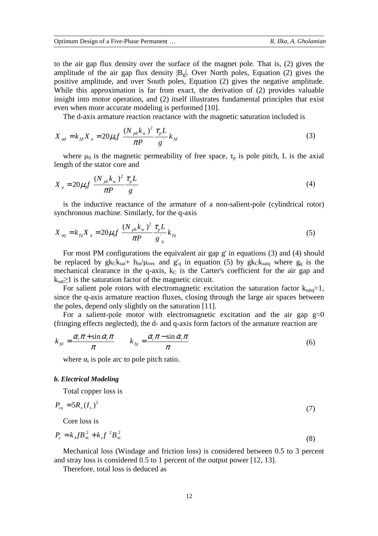to the air gap flux density over the surface of the magnet pole. That is, (2) gives the amplitude of the air gap flux density  $|B_{g}|$ . Over North poles, Equation (2) gives the positive amplitude, and over South poles, Equation (2) gives the negative amplitude. While this approximation is far from exact, the derivation of (2) provides valuable insight into motor operation, and (2) itself illustrates fundamental principles that exist even when more accurate modeling is performed [10].

The d-axis armature reaction reactance with the magnetic saturation included is

$$
X_{ad} = k_{fd} X_a = 20 \mu_0 f \frac{(N_{ph} k_w)^2}{\pi P} \frac{\tau_p L}{g} k_{fd}
$$
 (3)

where  $\mu_0$  is the magnetic permeability of free space,  $\tau_p$  is pole pitch, L is the axial length of the stator core and

$$
X_{a} = 20\mu_{0} f \frac{(N_{ph} k_{w})^{2}}{\pi P} \frac{\tau_{p} L}{g}
$$
 (4)

is the inductive reactance of the armature of a non-salient-pole (cylindrical rotor) synchronous machine. Similarly, for the q-axis

$$
X_{aq} = k_{fq} X_a = 20 \mu_0 f \frac{(N_{ph} k_w)^2}{\pi P} \frac{\tau_p L}{g_q} k_{fq}
$$
 (5)

For most PM configurations the equivalent air gap g' in equations (3) and (4) should be replaced by  $g_{k}K_{sat}$ +  $h_{m}/\mu_{rrec}$  and  $g'_{q}$  in equation (5) by  $g_{k}K_{satq}$  where  $g_{q}$  is the mechanical clearance in the q-axis,  $k<sub>C</sub>$  is the Carter's coefficient for the air gap and  $k_{sat} \geq 1$  is the saturation factor of the magnetic circuit.

For salient pole rotors with electromagnetic excitation the saturation factor  $k_{stat} \approx 1$ , since the q-axis armature reaction fluxes, closing through the large air spaces between the poles, depend only slightly on the saturation [11].

For a salient-pole motor with electromagnetic excitation and the air gap  $g \approx 0$ (fringing effects neglected), the d- and q-axis form factors of the armature reaction are

$$
k_{fd} = \frac{\alpha_i \pi + \sin \alpha_i \pi}{\pi} \qquad k_{fq} = \frac{\alpha_i \pi - \sin \alpha_i \pi}{\pi}
$$
(6)

where  $\alpha_i$  is pole arc to pole pitch ratio.

#### *b. Electrical Modeling*

Total copper loss is

$$
P_{cu} = 5R_s (I_s)^2 \tag{7}
$$

Core loss is

$$
P_c = k_h f B_m^2 + k_e f^2 B_m^2
$$
 (8)

Mechanical loss (Windage and friction loss) is considered between 0.5 to 3 percent and stray loss is considered 0.5 to 1 percent of the output power [12, 13].

Therefore, total loss is deduced as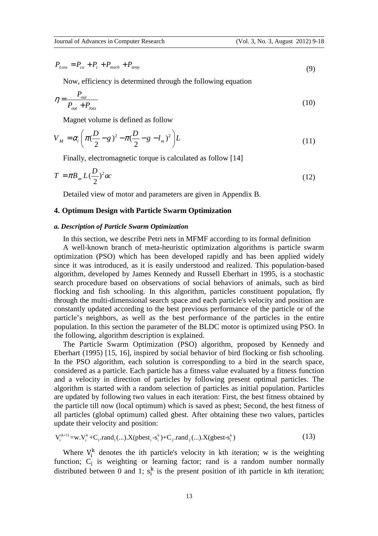$$
P_{Loss} = P_{cu} + P_c + P_{mech} + P_{stray} \tag{9}
$$

Now, efficiency is determined through the following equation

$$
\eta = \frac{P_{out}}{P_{out} + P_{loss}}
$$
(10)

Magnet volume is defined as follow

$$
V_M = \alpha_i \left( \pi \left( \frac{D}{2} - g \right)^2 - \pi \left( \frac{D}{2} - g - l_m \right)^2 \right) L \tag{11}
$$

Finally, electromagnetic torque is calculated as follow [14]

$$
T = \pi B_{av} L \left(\frac{D}{2}\right)^2 ac \tag{12}
$$

Detailed view of motor and parameters are given in Appendix B.

## **4. Optimum Design with Particle Swarm Optimization**

#### *a. Description of Particle Swarm Optimization*

In this section, we describe Petri nets in MFMF according to its formal definition

A well-known branch of meta-heuristic optimization algorithms is particle swarm optimization (PSO) which has been developed rapidly and has been applied widely since it was introduced, as it is easily understood and realized. This population-based algorithm, developed by James Kennedy and Russell Eberhart in 1995, is a stochastic search procedure based on observations of social behaviors of animals, such as bird flocking and fish schooling. In this algorithm, particles constituent population, fly through the multi-dimensional search space and each particle's velocity and position are constantly updated according to the best previous performance of the particle or of the particle's neighbors, as well as the best performance of the particles in the entire population. In this section the parameter of the BLDC motor is optimized using PSO. In the following, algorithm description is explained.

The Particle Swarm Optimization (PSO) algorithm, proposed by Kennedy and Eberhart (1995) [15, 16], inspired by social behavior of bird flocking or fish schooling. In the PSO algorithm, each solution is corresponding to a bird in the search space, considered as a particle. Each particle has a fitness value evaluated by a fitness function and a velocity in direction of particles by following present optimal particles. The algorithm is started with a random selection of particles as initial population. Particles are updated by following two values in each iteration: First, the best fitness obtained by the particle till now (local optimum) which is saved as pbest; Second, the best fitness of all particles (global optimum) called gbest. After obtaining these two values, particles update their velocity and position:

$$
V_i^{(k+1)} = w.V_i^k + C_1. rand_1(...).X(pbest_i - s_i^k) + C_2. rand_2(...).X(gbest - s_i^k)
$$
\n(13)

Where  $V_i^k$  denotes the ith particle's velocity in kth iteration; w is the weighting function;  $C_j$  is weighting or learning factor; rand is a random number normally distributed between 0 and 1;  $s_i^k$  $\frac{k}{i}$  is the present position of ith particle in kth iteration;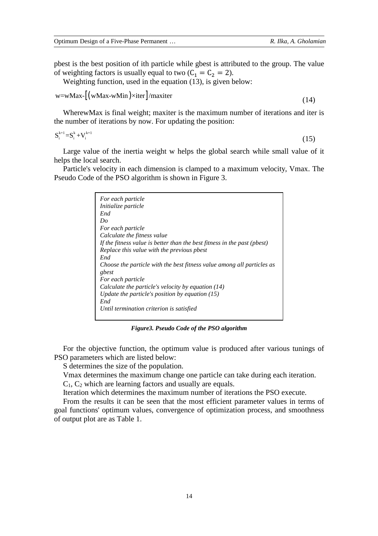pbest is the best position of ith particle while gbest is attributed to the group. The value of weighting factors is usually equal to two  $(C_1 = C_2 = 2)$ .

Weighting function, used in the equation (13), is given below:

$$
w = wMax - [(wMax - wMin) \times iter] / maxiter
$$

$$
(14)
$$

WherewMax is final weight; maxiter is the maximum number of iterations and iter is the number of iterations by now. For updating the position:

$$
\mathbf{S}_{i}^{k+1} = \mathbf{S}_{i}^{k} + \mathbf{V}_{i}^{k+1} \tag{15}
$$

Large value of the inertia weight w helps the global search while small value of it helps the local search.

Particle's velocity in each dimension is clamped to a maximum velocity, Vmax. The Pseudo Code of the PSO algorithm is shown in Figure 3.

| For each particle                                                        |
|--------------------------------------------------------------------------|
| <i>Initialize particle</i>                                               |
| End                                                                      |
| Do                                                                       |
| For each particle                                                        |
| Calculate the fitness value                                              |
| If the fitness value is better than the best fitness in the past (pbest) |
| Replace this value with the previous pbest                               |
| End                                                                      |
| Choose the particle with the best fitness value among all particles as   |
| gbest                                                                    |
| For each particle                                                        |
| Calculate the particle's velocity by equation (14)                       |
| Update the particle's position by equation $(15)$                        |
| End                                                                      |
| Until termination criterion is satisfied                                 |
|                                                                          |

*Figure3. Pseudo Code of the PSO algorithm* 

For the objective function, the optimum value is produced after various tunings of PSO parameters which are listed below:

S determines the size of the population.

Vmax determines the maximum change one particle can take during each iteration.

 $C_1$ ,  $C_2$  which are learning factors and usually are equals.

Iteration which determines the maximum number of iterations the PSO execute.

From the results it can be seen that the most efficient parameter values in terms of goal functions' optimum values, convergence of optimization process, and smoothness of output plot are as Table 1.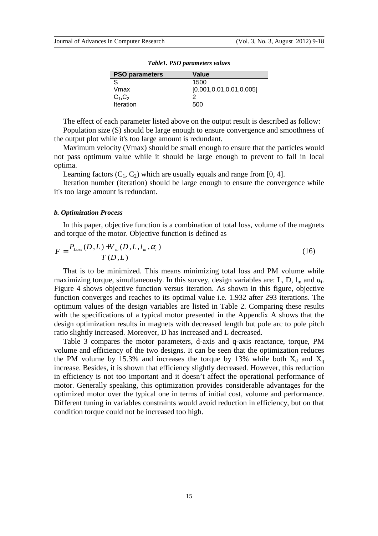| <b>PSO parameters</b> | Value                      |
|-----------------------|----------------------------|
| S                     | 1500                       |
| Vmax                  | [0.001, 0.01, 0.01, 0.005] |
| $C_1, C_2$            |                            |
| Iteration             | 500                        |

*Table1. PSO parameters values* 

The effect of each parameter listed above on the output result is described as follow: Population size (S) should be large enough to ensure convergence and smoothness of the output plot while it's too large amount is redundant.

Maximum velocity (Vmax) should be small enough to ensure that the particles would not pass optimum value while it should be large enough to prevent to fall in local optima.

Learning factors  $(C_1, C_2)$  which are usually equals and range from [0, 4].

Iteration number (iteration) should be large enough to ensure the convergence while it's too large amount is redundant.

#### *b. Optimization Process*

In this paper, objective function is a combination of total loss, volume of the magnets and torque of the motor. Objective function is defined as

$$
F = \frac{P_{Loss}(D, L) + V_m(D, L, l_m, \alpha_i)}{T(D, L)}
$$
\n(16)

That is to be minimized. This means minimizing total loss and PM volume while maximizing torque, simultaneously. In this survey, design variables are: L, D,  $l_m$  and  $\alpha_i$ . Figure 4 shows objective function versus iteration. As shown in this figure, objective function converges and reaches to its optimal value i.e. 1.932 after 293 iterations. The optimum values of the design variables are listed in Table 2. Comparing these results with the specifications of a typical motor presented in the Appendix A shows that the design optimization results in magnets with decreased length but pole arc to pole pitch ratio slightly increased. Moreover, D has increased and L decreased.

Table 3 compares the motor parameters, d-axis and q-axis reactance, torque, PM volume and efficiency of the two designs. It can be seen that the optimization reduces the PM volume by 15.3% and increases the torque by 13% while both  $X_d$  and  $X_q$ increase. Besides, it is shown that efficiency slightly decreased. However, this reduction in efficiency is not too important and it doesn't affect the operational performance of motor. Generally speaking, this optimization provides considerable advantages for the optimized motor over the typical one in terms of initial cost, volume and performance. Different tuning in variables constraints would avoid reduction in efficiency, but on that condition torque could not be increased too high.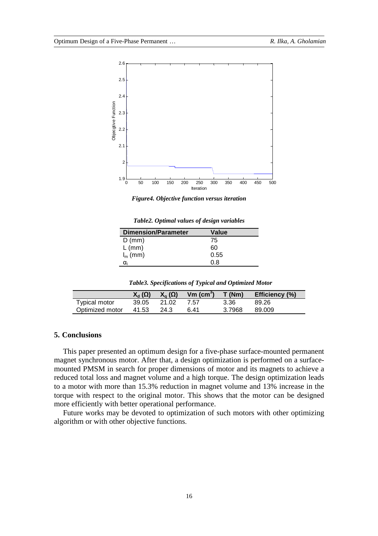

*Figure4. Objective function versus iteration* 

| <b>Dimension/Parameter</b> | Value |  |
|----------------------------|-------|--|
| $D$ (mm)                   | 75    |  |
| $L$ (mm)                   | 60    |  |
| $I_m$ (mm)                 | 0.55  |  |
|                            | 0 8   |  |

*Table2. Optimal values of design variables* 

|  | Table3. Specifications of Typical and Optimized Motor |  |
|--|-------------------------------------------------------|--|
|  |                                                       |  |

|                 | $X_{d}(\Omega)$ | $X_{\alpha}(\Omega)$ | Vm $(cm^3)$ T (Nm) |        | Efficiency (%) |
|-----------------|-----------------|----------------------|--------------------|--------|----------------|
| Typical motor   | 39.05           | 21.02                | 7.57               | 3.36   | 89.26          |
| Optimized motor | 41.53           | 24.3                 | ճ 41               | 3.7968 | 89.009         |

# **5. Conclusions**

This paper presented an optimum design for a five-phase surface-mounted permanent magnet synchronous motor. After that, a design optimization is performed on a surfacemounted PMSM in search for proper dimensions of motor and its magnets to achieve a reduced total loss and magnet volume and a high torque. The design optimization leads to a motor with more than 15.3% reduction in magnet volume and 13% increase in the torque with respect to the original motor. This shows that the motor can be designed more efficiently with better operational performance.

Future works may be devoted to optimization of such motors with other optimizing algorithm or with other objective functions.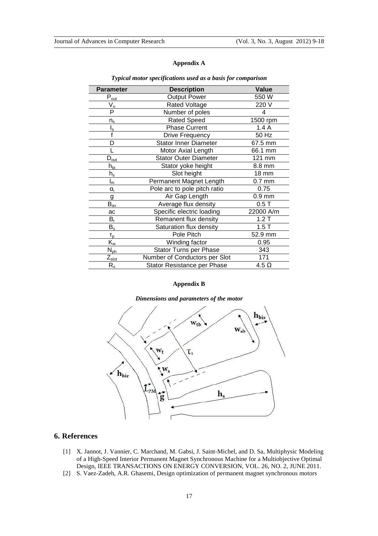# **Appendix A**

| <b>Parameter</b>                       | <b>Description</b>            | Value        |
|----------------------------------------|-------------------------------|--------------|
| $P_{\underline{out}}$                  | <b>Output Power</b>           | 550 W        |
| $\bar{V}_{\underline{n}}$              | <b>Rated Voltage</b>          | 220 V        |
| $\overline{\mathsf{P}}$                | Number of poles               |              |
| $n_{\rm s}$                            | <b>Rated Speed</b>            | 1500 rpm     |
| $I_{s}$                                | Phase Current                 | 1.4A         |
|                                        | <b>Drive Frequency</b>        | 50 Hz        |
| D                                      | <b>Stator Inner Diameter</b>  | 67.5 mm      |
|                                        | Motor Axial Length            | 66.1 mm      |
| $D_{\text{out}}$                       | <b>Stator Outer Diameter</b>  | 121 mm       |
| $h_{\underline{\text{bi}}}$            | Stator yoke height            | 8.8 mm       |
| $h_{\rm s}$                            | Slot height                   | <b>18 mm</b> |
| $I_m$                                  | Permanent Magnet Length       | $0.7$ mm     |
| $\alpha_i$                             | Pole arc to pole pitch ratio  | 0.75         |
| g                                      | Air Gap Length                | $0.9$ mm     |
| $\mathsf{B}_{\underline{\mathsf{av}}}$ | Average flux density          | 0.5T         |
| ac                                     | Specific electric loading     | 22000 A/m    |
| $B_r$                                  | Remanent flux density         | 1.2T         |
| $B_s$                                  | Saturation flux density       | 1.5T         |
| $T_{p}$                                | Pole Pitch                    | 52.9 mm      |
| $\mathsf{K}_{\mathsf{w}}$              | Winding factor                | 0.95         |
| $N_{\underline{\rho h}}$               | Stator Turns per Phase        | 343          |
| $\mathsf{Z}_{\mathsf{slot}}$           | Number of Conductors per Slot | 171          |
| $\mathsf{R}_{\mathsf{s}}$              | Stator Resistance per Phase   | $4.5 \Omega$ |

#### *Typical motor specifications used as a basis for comparison*

#### **Appendix B**



## *Dimensions and parameters of the motor*

# **6. References**

- [1] X. Jannot, J. Vannier, C. Marchand, M. Gabsi, J. Saint-Michel, and D. Sa, Multiphysic Modeling of a High-Speed Interior Permanent Magnet Synchronous Machine for a Multiobjective Optimal Design, IEEE TRANSACTIONS ON ENERGY CONVERSION, VOL. 26, NO. 2, JUNE 2011.
- [2] S. Vaez-Zadeh, A.R. Ghasemi, Design optimization of permanent magnet synchronous motors